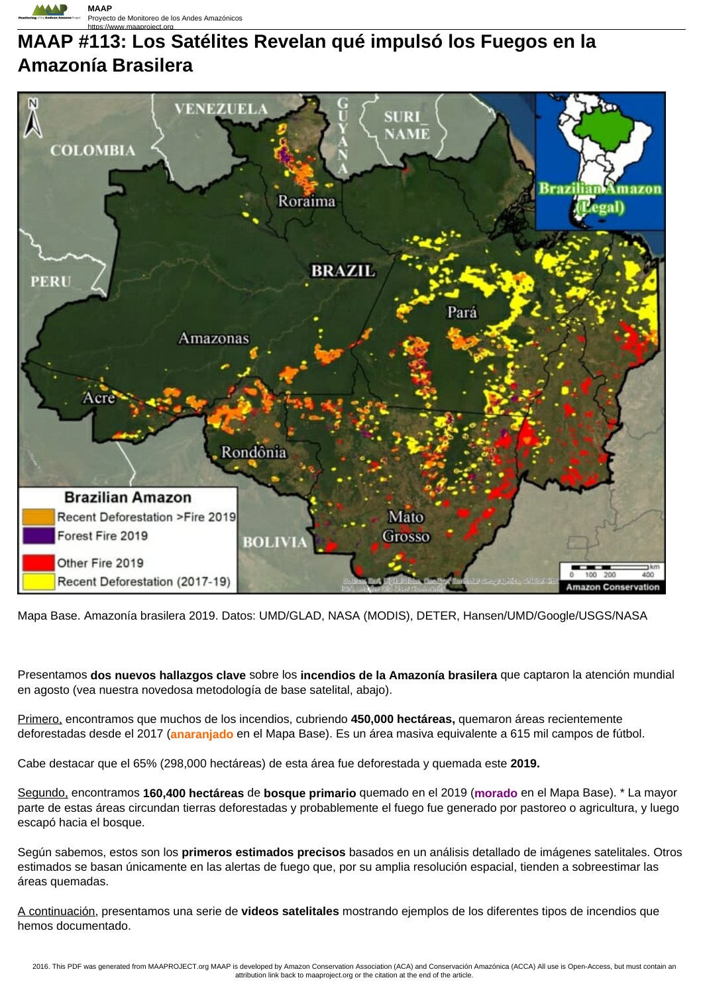

# https://www.maaproject.org **MAAP #113: Los Satélites Revelan qué impulsó los Fuegos en la Amazonía Brasilera**



Mapa Base. Amazonía brasilera 2019. Datos: UMD/GLAD, NASA (MODIS), DETER, Hansen/UMD/Google/USGS/NASA

Presentamos **dos nuevos hallazgos clave** sobre los **incendios de la Amazonía brasilera** que captaron la atención mundial en agosto (vea nuestra novedosa metodología de base satelital, abajo).

Primero, encontramos que muchos de los incendios, cubriendo **450,000 hectáreas,** quemaron áreas recientemente deforestadas desde el 2017 (**anaranjado** en el Mapa Base). Es un área masiva equivalente a 615 mil campos de fútbol.

Cabe destacar que el 65% (298,000 hectáreas) de esta área fue deforestada y quemada este **2019.**

Segundo, encontramos **160,400 hectáreas** de **bosque primario** quemado en el 2019 (**morado** en el Mapa Base). \* La mayor parte de estas áreas circundan tierras deforestadas y probablemente el fuego fue generado por pastoreo o agricultura, y luego escapó hacia el bosque.

Según sabemos, estos son los **primeros estimados precisos** basados en un análisis detallado de imágenes satelitales. Otros estimados se basan únicamente en las alertas de fuego que, por su amplia resolución espacial, tienden a sobreestimar las áreas quemadas.

A continuación, presentamos una serie de **videos satelitales** mostrando ejemplos de los diferentes tipos de incendios que hemos documentado.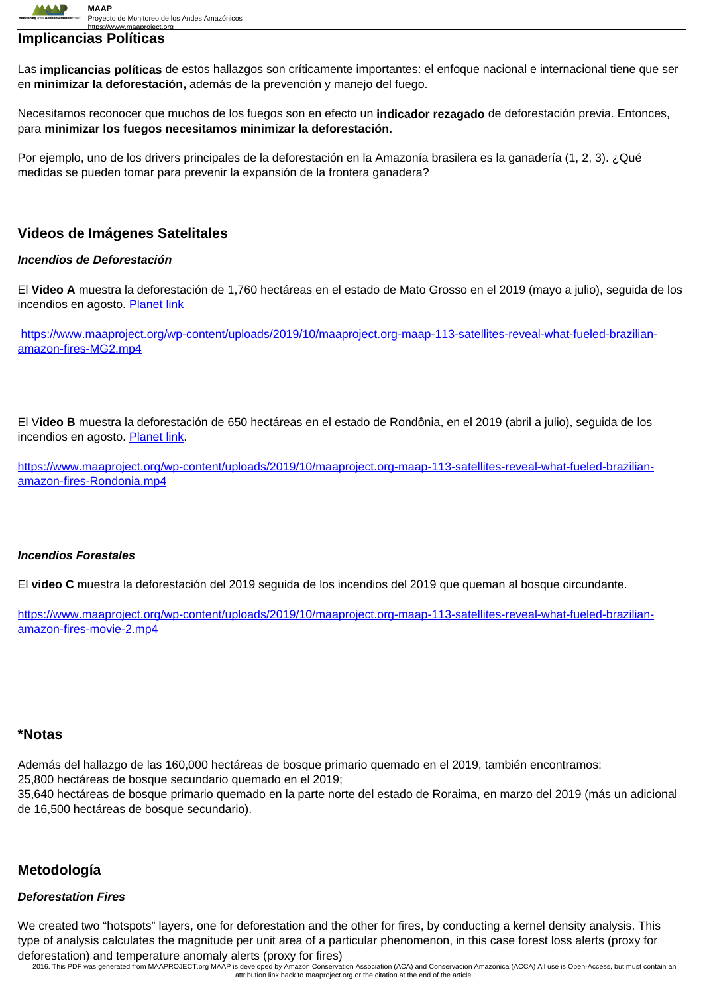

## **Implicancias Políticas**

Las **implicancias políticas** de estos hallazgos son críticamente importantes: el enfoque nacional e internacional tiene que ser en **minimizar la deforestación,** además de la prevención y manejo del fuego.

Necesitamos reconocer que muchos de los fuegos son en efecto un **indicador rezagado** de deforestación previa. Entonces, para **minimizar los fuegos necesitamos minimizar la deforestación.**

Por ejemplo, uno de los drivers principales de la deforestación en la Amazonía brasilera es la ganadería (1, 2, 3). ¿Qué medidas se pueden tomar para prevenir la expansión de la frontera ganadera?

## **Videos de Imágenes Satelitales**

#### **Incendios de Deforestación**

El **Video A** muestra la deforestación de 1,760 hectáreas en el estado de Mato Grosso en el 2019 (mayo a julio), seguida de los incendios en agosto. Planet link

https://www.maaproject.org/wp-content/uploads/2019/10/maaproject.org-maap-113-satellites-reveal-what-fueled-brazilianamazon-fires-MG2.mp4

El V**ideo B** muestra la deforestación de 650 hectáreas en el estado de Rondônia, en el 2019 (abril a julio), seguida de los incendios en agosto. Planet link.

https://www.maaproject.org/wp-content/uploads/2019/10/maaproject.org-maap-113-satellites-reveal-what-fueled-brazilianamazon-fires-Rondonia.mp4

## **Incendios Forestales**

El **video C** muestra la deforestación del 2019 seguida de los incendios del 2019 que queman al bosque circundante.

https://www.maaproject.org/wp-content/uploads/2019/10/maaproject.org-maap-113-satellites-reveal-what-fueled-brazilianamazon-fires-movie-2.mp4

## **\*Notas**

Además del hallazgo de las 160,000 hectáreas de bosque primario quemado en el 2019, también encontramos: 25,800 hectáreas de bosque secundario quemado en el 2019; 35,640 hectáreas de bosque primario quemado en la parte norte del estado de Roraima, en marzo del 2019 (más un adicional de 16,500 hectáreas de bosque secundario).

## **Metodología**

#### **Deforestation Fires**

We created two "hotspots" layers, one for deforestation and the other for fires, by conducting a kernel density analysis. This type of analysis calculates the magnitude per unit area of a particular phenomenon, in this case forest loss alerts (proxy for deforestation) and temperature anomaly alerts (proxy for fires)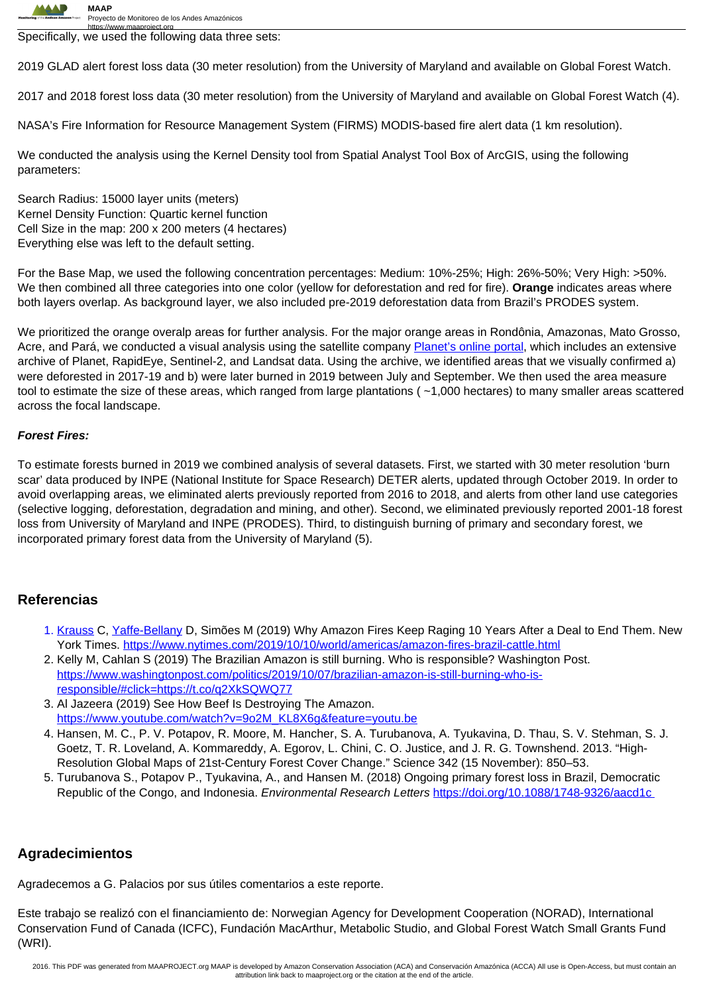

https://www.maaproject.org<br>Specifically, we used the following data three sets:

2019 GLAD alert forest loss data (30 meter resolution) from the University of Maryland and available on Global Forest Watch.

2017 and 2018 forest loss data (30 meter resolution) from the University of Maryland and available on Global Forest Watch (4).

NASA's Fire Information for Resource Management System (FIRMS) MODIS-based fire alert data (1 km resolution).

We conducted the analysis using the Kernel Density tool from Spatial Analyst Tool Box of ArcGIS, using the following parameters:

Search Radius: 15000 layer units (meters) Kernel Density Function: Quartic kernel function Cell Size in the map: 200 x 200 meters (4 hectares) Everything else was left to the default setting.

For the Base Map, we used the following concentration percentages: Medium: 10%-25%; High: 26%-50%; Very High: >50%. We then combined all three categories into one color (yellow for deforestation and red for fire). **Orange** indicates areas where both layers overlap. As background layer, we also included pre-2019 deforestation data from Brazil's PRODES system.

We prioritized the orange overalp areas for further analysis. For the major orange areas in Rondônia, Amazonas, Mato Grosso, Acre, and Pará, we conducted a visual analysis using the satellite company Planet's online portal, which includes an extensive archive of Planet, RapidEye, Sentinel-2, and Landsat data. Using the archive, we identified areas that we visually confirmed a) were deforested in 2017-19 and b) were later burned in 2019 between July and September. We then used the area measure tool to estimate the size of these areas, which ranged from large plantations ( ~1,000 hectares) to many smaller areas scattered across the focal landscape.

#### **Forest Fires:**

To estimate forests burned in 2019 we combined analysis of several datasets. First, we started with 30 meter resolution 'burn scar' data produced by INPE (National Institute for Space Research) DETER alerts, updated through October 2019. In order to avoid overlapping areas, we eliminated alerts previously reported from 2016 to 2018, and alerts from other land use categories (selective logging, deforestation, degradation and mining, and other). Second, we eliminated previously reported 2001-18 forest loss from University of Maryland and INPE (PRODES). Third, to distinguish burning of primary and secondary forest, we incorporated primary forest data from the University of Maryland (5).

## **Referencias**

- 1. Krauss C, Yaffe-Bellany D, Simões M (2019) Why Amazon Fires Keep Raging 10 Years After a Deal to End Them. New York Times. https://www.nytimes.com/2019/10/10/world/americas/amazon-fires-brazil-cattle.html
- 2. Kelly M, Cahlan S (2019) The Brazilian Amazon is still burning. Who is responsible? Washington Post. https://www.washingtonpost.com/politics/2019/10/07/brazilian-amazon-is-still-burning-who-isresponsible/#click=https://t.co/q2XkSQWQ77
- 3. Al Jazeera (2019) See How Beef Is Destroying The Amazon. https://www.youtube.com/watch?v=9o2M\_KL8X6g&feature=youtu.be
- 4. Hansen, M. C., P. V. Potapov, R. Moore, M. Hancher, S. A. Turubanova, A. Tyukavina, D. Thau, S. V. Stehman, S. J. Goetz, T. R. Loveland, A. Kommareddy, A. Egorov, L. Chini, C. O. Justice, and J. R. G. Townshend. 2013. "High-Resolution Global Maps of 21st-Century Forest Cover Change." Science 342 (15 November): 850–53.
- 5. Turubanova S., Potapov P., Tyukavina, A., and Hansen M. (2018) Ongoing primary forest loss in Brazil, Democratic Republic of the Congo, and Indonesia. Environmental Research Letters https://doi.org/10.1088/1748-9326/aacd1c

## **Agradecimientos**

Agradecemos a G. Palacios por sus útiles comentarios a este reporte.

Este trabajo se realizó con el financiamiento de: Norwegian Agency for Development Cooperation (NORAD), International Conservation Fund of Canada (ICFC), Fundación MacArthur, Metabolic Studio, and Global Forest Watch Small Grants Fund (WRI).